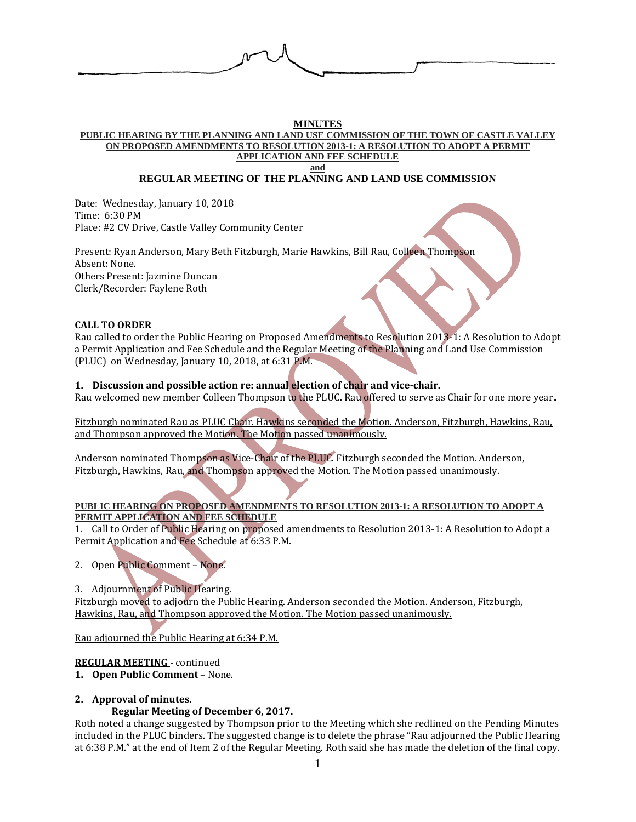

#### **MINUTES**

**PUBLIC HEARING BY THE PLANNING AND LAND USE COMMISSION OF THE TOWN OF CASTLE VALLEY ON PROPOSED AMENDMENTS TO RESOLUTION 2013-1: A RESOLUTION TO ADOPT A PERMIT APPLICATION AND FEE SCHEDULE**

**and**

## **REGULAR MEETING OF THE PLANNING AND LAND USE COMMISSION**

Date: Wednesday, January 10, 2018 Time: 6:30 PM Place: #2 CV Drive, Castle Valley Community Center

Present: Ryan Anderson, Mary Beth Fitzburgh, Marie Hawkins, Bill Rau, Colleen Thompson Absent: None. Others Present: Jazmine Duncan Clerk/Recorder: Faylene Roth

## **CALL TO ORDER**

Rau called to order the Public Hearing on Proposed Amendments to Resolution 2013-1: A Resolution to Adopt a Permit Application and Fee Schedule and the Regular Meeting of the Planning and Land Use Commission (PLUC) on Wednesday, January 10, 2018, at 6:31 P.M.

### **1. Discussion and possible action re: annual election of chair and vice-chair.**

Rau welcomed new member Colleen Thompson to the PLUC. Rau offered to serve as Chair for one more year..

Fitzburgh nominated Rau as PLUC Chair. Hawkins seconded the Motion. Anderson, Fitzburgh, Hawkins, Rau, and Thompson approved the Motion. The Motion passed unanimously.

Anderson nominated Thompson as Vice-Chair of the PLUC. Fitzburgh seconded the Motion. Anderson, Fitzburgh, Hawkins, Rau, and Thompson approved the Motion. The Motion passed unanimously.

### **PUBLIC HEARING ON PROPOSED AMENDMENTS TO RESOLUTION 2013-1: A RESOLUTION TO ADOPT A PERMIT APPLICATION AND FEE SCHEDULE**

1. Call to Order of Public Hearing on proposed amendments to Resolution 2013-1: A Resolution to Adopt a Permit Application and Fee Schedule at 6:33 P.M.

- 2. Open Public Comment None.
- 3. Adjournment of Public Hearing.

Fitzburgh moved to adjourn the Public Hearing. Anderson seconded the Motion. Anderson, Fitzburgh, Hawkins, Rau, and Thompson approved the Motion. The Motion passed unanimously.

Rau adjourned the Public Hearing at 6:34 P.M.

## **REGULAR MEETING** - continued

### **1. Open Public Comment** – None.

# **2. Approval of minutes.**

## **Regular Meeting of December 6, 2017.**

Roth noted a change suggested by Thompson prior to the Meeting which she redlined on the Pending Minutes included in the PLUC binders. The suggested change is to delete the phrase "Rau adjourned the Public Hearing at 6:38 P.M." at the end of Item 2 of the Regular Meeting. Roth said she has made the deletion of the final copy.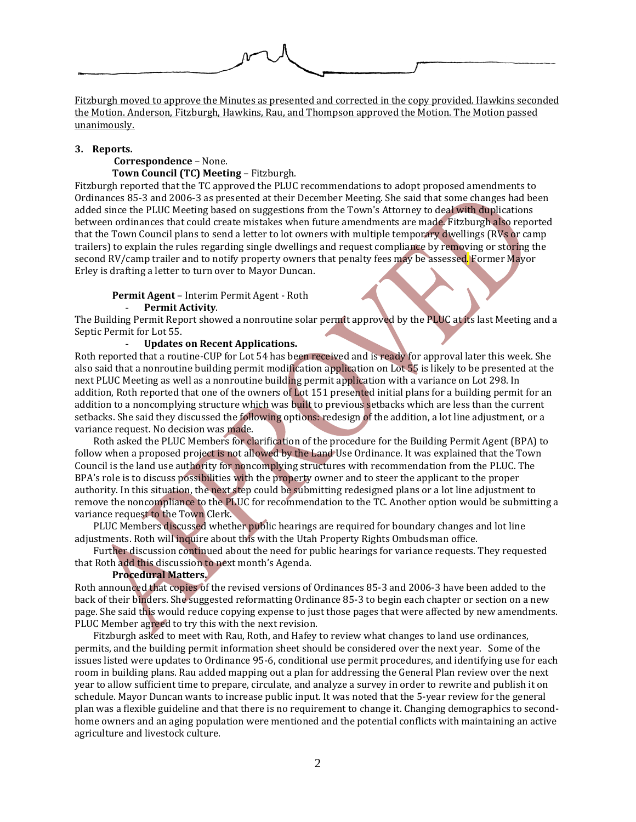

Fitzburgh moved to approve the Minutes as presented and corrected in the copy provided. Hawkins seconded the Motion. Anderson, Fitzburgh, Hawkins, Rau, and Thompson approved the Motion. The Motion passed unanimously.

#### **3. Reports.**

#### **Correspondence** – None. **Town Council (TC) Meeting** – Fitzburgh.

Fitzburgh reported that the TC approved the PLUC recommendations to adopt proposed amendments to Ordinances 85-3 and 2006-3 as presented at their December Meeting. She said that some changes had been added since the PLUC Meeting based on suggestions from the Town's Attorney to deal with duplications between ordinances that could create mistakes when future amendments are made. Fitzburgh also reported that the Town Council plans to send a letter to lot owners with multiple temporary dwellings (RVs or camp trailers) to explain the rules regarding single dwellings and request compliance by removing or storing the second RV/camp trailer and to notify property owners that penalty fees may be assessed. Former Mayor Erley is drafting a letter to turn over to Mayor Duncan.

# **Permit Agent** – Interim Permit Agent - Roth

- **Permit Activity**.

The Building Permit Report showed a nonroutine solar permit approved by the PLUC at its last Meeting and a Septic Permit for Lot 55.

## - **Updates on Recent Applications.**

Roth reported that a routine-CUP for Lot 54 has been received and is ready for approval later this week. She also said that a nonroutine building permit modification application on Lot 55 is likely to be presented at the next PLUC Meeting as well as a nonroutine building permit application with a variance on Lot 298. In addition, Roth reported that one of the owners of Lot 151 presented initial plans for a building permit for an addition to a noncomplying structure which was built to previous setbacks which are less than the current setbacks. She said they discussed the following options: redesign of the addition, a lot line adjustment, or a variance request. No decision was made.

Roth asked the PLUC Members for clarification of the procedure for the Building Permit Agent (BPA) to follow when a proposed project is not allowed by the Land Use Ordinance. It was explained that the Town Council is the land use authority for noncomplying structures with recommendation from the PLUC. The BPA's role is to discuss possibilities with the property owner and to steer the applicant to the proper authority. In this situation, the next step could be submitting redesigned plans or a lot line adjustment to remove the noncompliance to the PLUC for recommendation to the TC. Another option would be submitting a variance request to the Town Clerk.

PLUC Members discussed whether public hearings are required for boundary changes and lot line adjustments. Roth will inquire about this with the Utah Property Rights Ombudsman office.

Further discussion continued about the need for public hearings for variance requests. They requested that Roth add this discussion to next month's Agenda.

### **Procedural Matters.**

Roth announced that copies of the revised versions of Ordinances 85-3 and 2006-3 have been added to the back of their binders. She suggested reformatting Ordinance 85-3 to begin each chapter or section on a new page. She said this would reduce copying expense to just those pages that were affected by new amendments. PLUC Member agreed to try this with the next revision.

Fitzburgh asked to meet with Rau, Roth, and Hafey to review what changes to land use ordinances, permits, and the building permit information sheet should be considered over the next year. Some of the issues listed were updates to Ordinance 95-6, conditional use permit procedures, and identifying use for each room in building plans. Rau added mapping out a plan for addressing the General Plan review over the next year to allow sufficient time to prepare, circulate, and analyze a survey in order to rewrite and publish it on schedule. Mayor Duncan wants to increase public input. It was noted that the 5-year review for the general plan was a flexible guideline and that there is no requirement to change it. Changing demographics to secondhome owners and an aging population were mentioned and the potential conflicts with maintaining an active agriculture and livestock culture.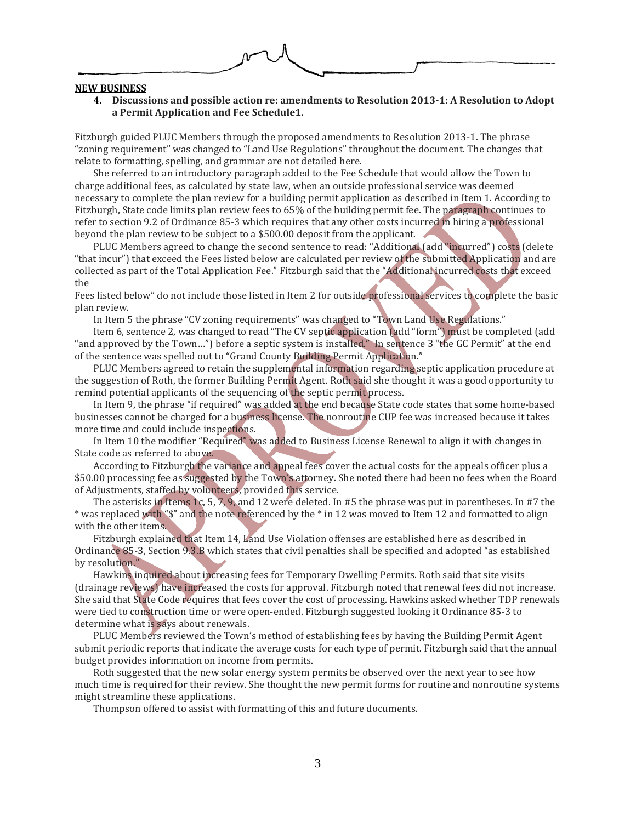

#### **NEW BUSINESS**

**4. Discussions and possible action re: amendments to Resolution 2013-1: A Resolution to Adopt a Permit Application and Fee Schedule1.**

Fitzburgh guided PLUC Members through the proposed amendments to Resolution 2013-1. The phrase "zoning requirement" was changed to "Land Use Regulations" throughout the document. The changes that relate to formatting, spelling, and grammar are not detailed here.

She referred to an introductory paragraph added to the Fee Schedule that would allow the Town to charge additional fees, as calculated by state law, when an outside professional service was deemed necessary to complete the plan review for a building permit application as described in Item 1. According to Fitzburgh, State code limits plan review fees to 65% of the building permit fee. The paragraph continues to refer to section 9.2 of Ordinance 85-3 which requires that any other costs incurred in hiring a professional beyond the plan review to be subject to a \$500.00 deposit from the applicant.

PLUC Members agreed to change the second sentence to read: "Additional (add "incurred") costs (delete "that incur") that exceed the Fees listed below are calculated per review of the submitted Application and are collected as part of the Total Application Fee." Fitzburgh said that the "Additional incurred costs that exceed the

Fees listed below" do not include those listed in Item 2 for outside professional services to complete the basic plan review.

In Item 5 the phrase "CV zoning requirements" was changed to "Town Land Use Regulations."

Item 6, sentence 2, was changed to read "The CV septic application (add "form") must be completed (add "and approved by the Town…") before a septic system is installed." In sentence 3 "the GC Permit" at the end of the sentence was spelled out to "Grand County Building Permit Application."

PLUC Members agreed to retain the supplemental information regarding septic application procedure at the suggestion of Roth, the former Building Permit Agent. Roth said she thought it was a good opportunity to remind potential applicants of the sequencing of the septic permit process.

In Item 9, the phrase "if required" was added at the end because State code states that some home-based businesses cannot be charged for a business license. The nonroutine CUP fee was increased because it takes more time and could include inspections.

In Item 10 the modifier "Required" was added to Business License Renewal to align it with changes in State code as referred to above.

According to Fitzburgh the variance and appeal fees cover the actual costs for the appeals officer plus a \$50.00 processing fee as suggested by the Town's attorney. She noted there had been no fees when the Board of Adjustments, staffed by volunteers, provided this service.

The asterisks in Items 1c, 5, 7, 9, and 12 were deleted. In #5 the phrase was put in parentheses. In #7 the \* was replaced with "\$" and the note referenced by the \* in 12 was moved to Item 12 and formatted to align with the other items.

Fitzburgh explained that Item 14, Land Use Violation offenses are established here as described in Ordinance 85-3, Section 9.3.B which states that civil penalties shall be specified and adopted "as established by resolution."

Hawkins inquired about increasing fees for Temporary Dwelling Permits. Roth said that site visits (drainage reviews) have increased the costs for approval. Fitzburgh noted that renewal fees did not increase. She said that State Code requires that fees cover the cost of processing. Hawkins asked whether TDP renewals were tied to construction time or were open-ended. Fitzburgh suggested looking it Ordinance 85-3 to determine what is says about renewals.

PLUC Members reviewed the Town's method of establishing fees by having the Building Permit Agent submit periodic reports that indicate the average costs for each type of permit. Fitzburgh said that the annual budget provides information on income from permits.

Roth suggested that the new solar energy system permits be observed over the next year to see how much time is required for their review. She thought the new permit forms for routine and nonroutine systems might streamline these applications.

Thompson offered to assist with formatting of this and future documents.